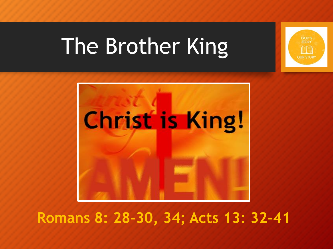

# The Brother King



#### **Romans 8: 28-30, 34; Acts 13: 32-41**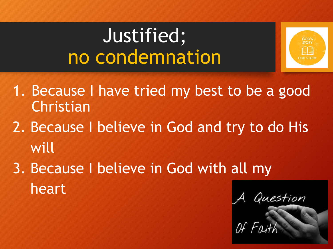### Justified; no condemnation



- 1. Because I have tried my best to be a good Christian
- 2. Because I believe in God and try to do His will
- 3. Because I believe in God with all my heart

Question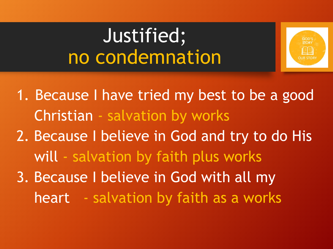### Justified; no condemnation



1. Because I have tried my best to be a good Christian - salvation by works 2. Because I believe in God and try to do His

will - salvation by faith plus works

3. Because I believe in God with all my heart - salvation by faith as a works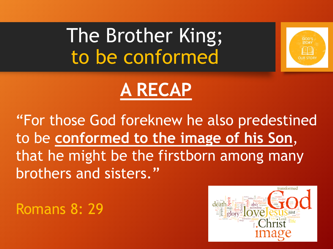The Brother King; to be conformed



## **A RECAP**

"For those God foreknew he also predestined to be **conformed to the image of his Son**, that he might be the firstborn among many brothers and sisters."

Romans 8: 29

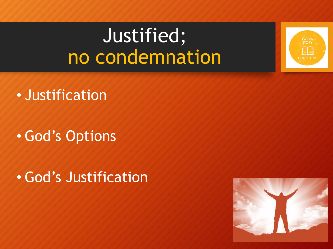### Justified; no condemnation



- Justification
- God's Options
- God's Justification

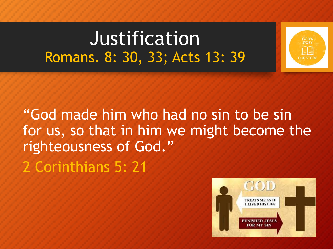Justification Romans. 8: 30, 33; Acts 13: 39





GOD'S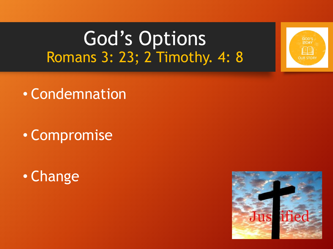#### God's Options Romans 3: 23; 2 Timothy. 4: 8



• Compromise





GOD'S **STOR** 

**OUR STOR**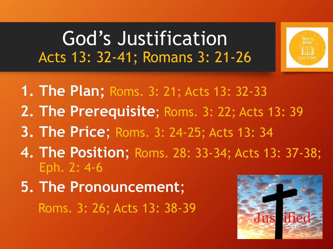#### God's Justification Acts 13: 32-41; Romans 3: 21-26



- **4. The Position**; Roms. 28: 33-34; Acts 13: 37-38; Eph. 2: 4-6
- **5. The Pronouncement**;

Roms. 3: 26; Acts 13: 38-39

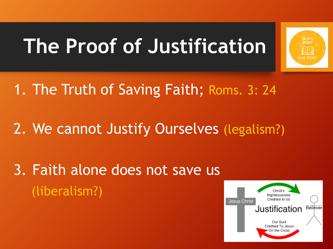# **The Proof of Justification**



1. The Truth of Saving Faith; Roms. 3: 24

2. We cannot Justify Ourselves (legalism?)

3. Faith alone does not save us (liberalism?)